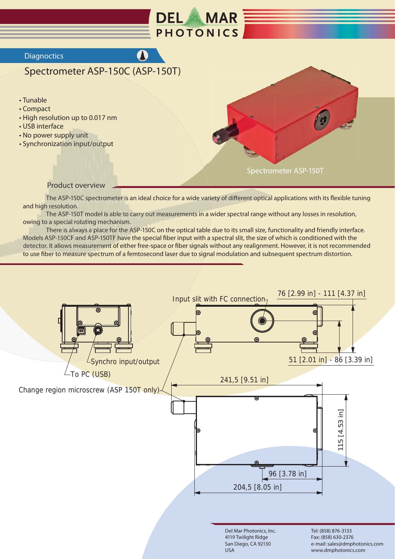

## **Diagnoctics**

## Spectrometer ASP-150C (ASP-150T)

## • Tunable

- Compact
- High resolution up to 0.017 nm
- USB interface
- . No power supply unit
- Synchronization input/output



Spectrometer ASP-150T

## **Product overview**

The ASP-150C spectrometer is an ideal choice for a wide variety of different optical applications with its flexible tuning and high resolution.

The ASP-150T model is able to carry out measurements in a wider spectral range without any losses in resolution, owing to a special rotating mechanism.

There is always a place for the ASP-150C on the optical table due to its small size, functionality and friendly interface. Models ASP-150CF and ASP-150TF have the special fiber input with a spectral slit, the size of which is conditioned with the detector. It allows measurement of either free-space or fiber signals without any realignment. However, it is not recommended to use fiber to measure spectrum of a femtosecond laser due to signal modulation and subsequent spectrum distortion.